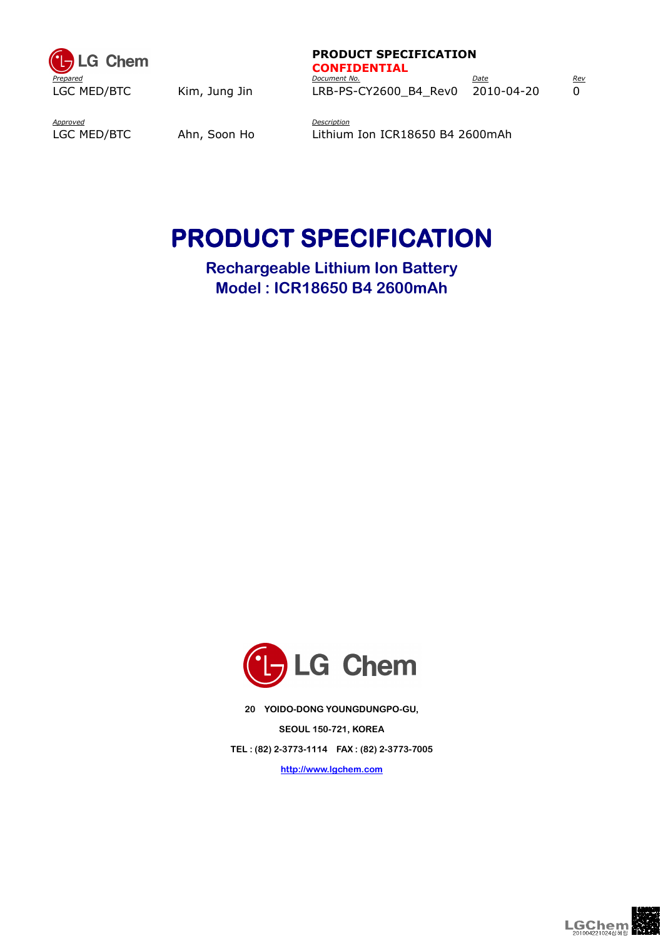

#### PRODUCT SPECIFICATION CONFIDENTIAL

Prepared and the present of the Document No. And Document No. And Document No. 2016. Date Rev LGC MED/BTC Kim, Jung Jin LRB-PS-CY2600\_B4\_Rev0 2010-04-20 0

Approved LGC MED/BTC

**Description** Ahn, Soon Ho Lithium Ion ICR18650 B4 2600mAh

# PRODUCT SPECIFICATION

Rechargeable Lithium Ion Battery Model : ICR18650 B4 2600mAh



20 YOIDO-DONG YOUNGDUNGPO-GU, SEOUL 150-721, KOREA TEL : (82) 2-3773-1114 FAX : (82) 2-3773-7005

http://www.lgchem.com

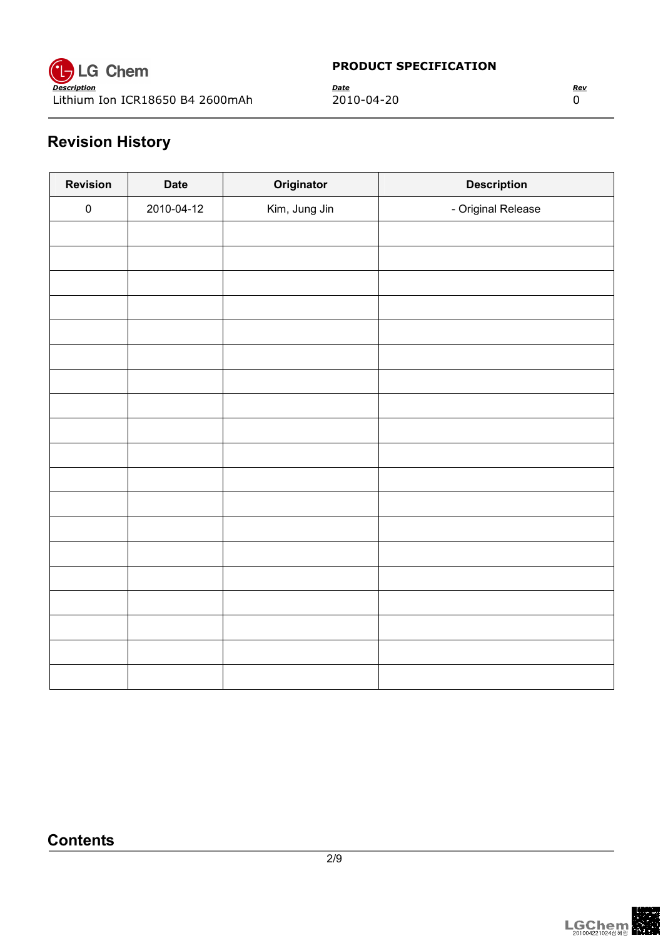

# Revision History

| <b>Revision</b> | <b>Date</b> | Originator    | <b>Description</b> |
|-----------------|-------------|---------------|--------------------|
| $\pmb{0}$       | 2010-04-12  | Kim, Jung Jin | - Original Release |
|                 |             |               |                    |
|                 |             |               |                    |
|                 |             |               |                    |
|                 |             |               |                    |
|                 |             |               |                    |
|                 |             |               |                    |
|                 |             |               |                    |
|                 |             |               |                    |
|                 |             |               |                    |
|                 |             |               |                    |
|                 |             |               |                    |
|                 |             |               |                    |
|                 |             |               |                    |
|                 |             |               |                    |
|                 |             |               |                    |
|                 |             |               |                    |
|                 |             |               |                    |
|                 |             |               |                    |
|                 |             |               |                    |

## **Contents**

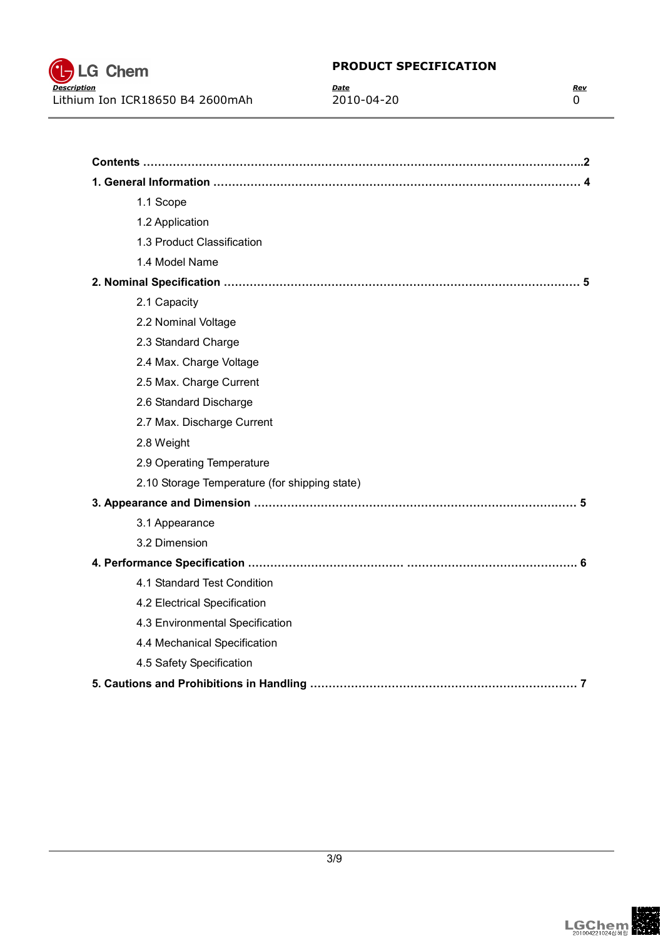

| 1.1 Scope                                     |
|-----------------------------------------------|
| 1.2 Application                               |
| 1.3 Product Classification                    |
| 1.4 Model Name                                |
|                                               |
| 2.1 Capacity                                  |
| 2.2 Nominal Voltage                           |
| 2.3 Standard Charge                           |
| 2.4 Max. Charge Voltage                       |
| 2.5 Max. Charge Current                       |
| 2.6 Standard Discharge                        |
| 2.7 Max. Discharge Current                    |
| 2.8 Weight                                    |
| 2.9 Operating Temperature                     |
| 2.10 Storage Temperature (for shipping state) |
|                                               |
| 3.1 Appearance                                |
| 3.2 Dimension                                 |
|                                               |
| 4.1 Standard Test Condition                   |
| 4.2 Electrical Specification                  |
| 4.3 Environmental Specification               |
| 4.4 Mechanical Specification                  |
| 4.5 Safety Specification                      |

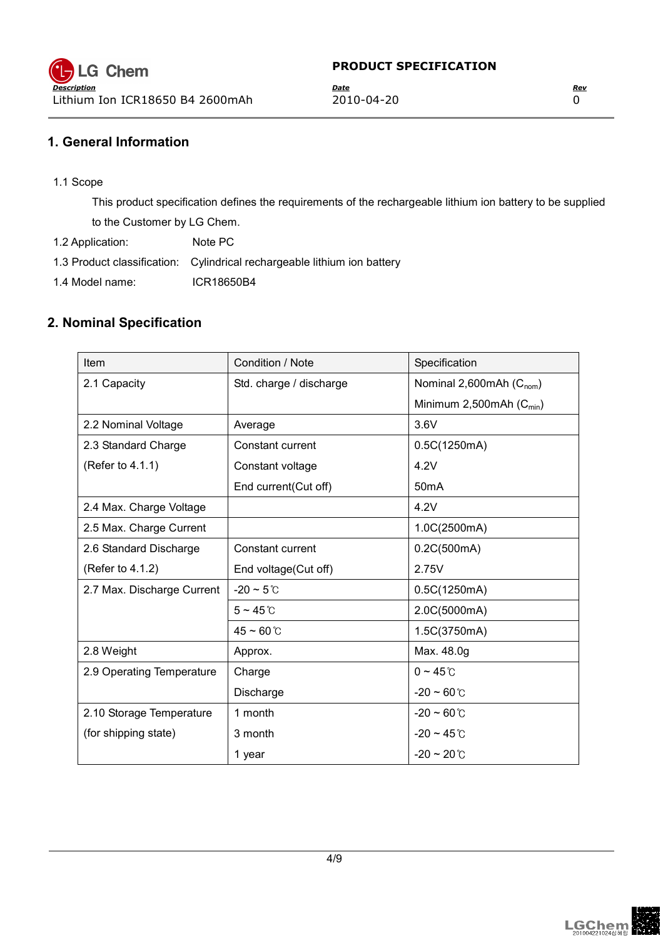## 1. General Information

1.1 Scope

This product specification defines the requirements of the rechargeable lithium ion battery to be supplied to the Customer by LG Chem.

1.2 Application: Note PC

1.3 Product classification: Cylindrical rechargeable lithium ion battery

1.4 Model name: ICR18650B4

### 2. Nominal Specification

| <b>Item</b>                | Condition / Note        | Specification                        |  |
|----------------------------|-------------------------|--------------------------------------|--|
| 2.1 Capacity               | Std. charge / discharge | Nominal 2,600mAh (C <sub>nom</sub> ) |  |
|                            |                         | Minimum 2,500mAh $(C_{min})$         |  |
| 2.2 Nominal Voltage        | Average                 | 3.6V                                 |  |
| 2.3 Standard Charge        | Constant current        | 0.5C(1250mA)                         |  |
| (Refer to 4.1.1)           | Constant voltage        | 4.2V                                 |  |
|                            | End current(Cut off)    | 50 <sub>m</sub> A                    |  |
| 2.4 Max. Charge Voltage    |                         | 4.2V                                 |  |
| 2.5 Max. Charge Current    |                         | 1.0C(2500mA)                         |  |
| 2.6 Standard Discharge     | Constant current        | 0.2C(500mA)                          |  |
| (Refer to 4.1.2)           | End voltage(Cut off)    | 2.75V                                |  |
| 2.7 Max. Discharge Current | $-20 \sim 5$ °C         | 0.5C(1250mA)                         |  |
|                            | $5 \sim 45$ °C          | 2.0C(5000mA)                         |  |
|                            | $45 - 60$ °C            | 1.5C(3750mA)                         |  |
| 2.8 Weight                 | Approx.                 | Max. 48.0g                           |  |
| 2.9 Operating Temperature  | Charge                  | $0 \sim 45$ °C                       |  |
|                            | Discharge               | $-20 \sim 60^{\circ}$ C              |  |
| 2.10 Storage Temperature   | 1 month                 | $-20 \sim 60^{\circ}$ C              |  |
| (for shipping state)       | 3 month                 | $-20 \sim 45^{\circ}$ C              |  |
|                            | 1 year                  | $-20 \sim 20 \degree$ C              |  |

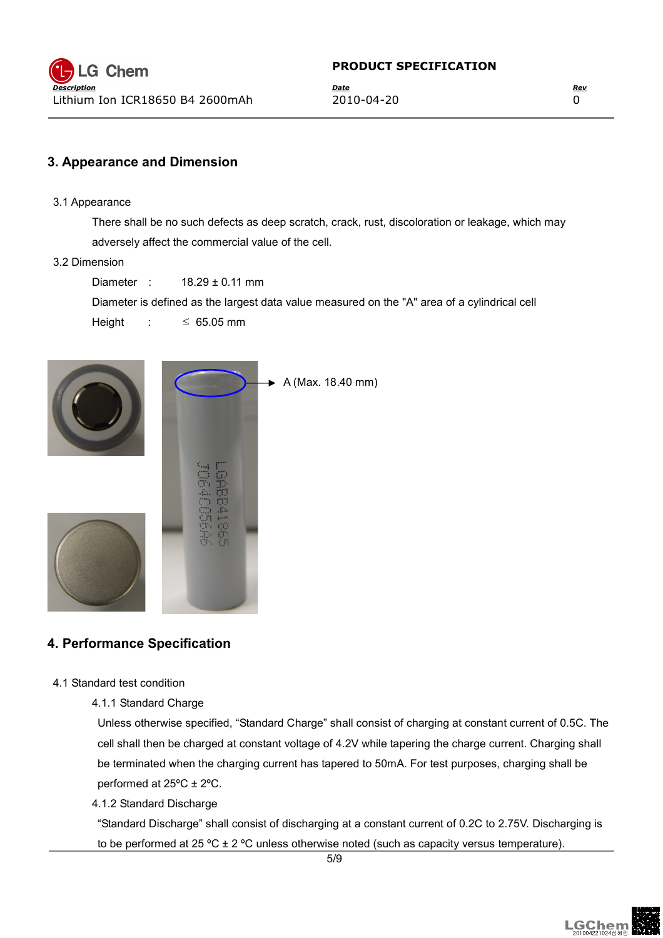## 3. Appearance and Dimension

3.1 Appearance

There shall be no such defects as deep scratch, crack, rust, discoloration or leakage, which may adversely affect the commercial value of the cell.

3.2 Dimension

Diameter : 18.29 ± 0.11 mm

Diameter is defined as the largest data value measured on the "A" area of a cylindrical cell

Height :  $\leq 65.05$  mm



## 4. Performance Specification

- 4.1 Standard test condition
	- 4.1.1 Standard Charge

Unless otherwise specified, "Standard Charge" shall consist of charging at constant current of 0.5C. The cell shall then be charged at constant voltage of 4.2V while tapering the charge current. Charging shall be terminated when the charging current has tapered to 50mA. For test purposes, charging shall be performed at  $25^{\circ}$ C ±  $2^{\circ}$ C.

#### 4.1.2 Standard Discharge

"Standard Discharge" shall consist of discharging at a constant current of 0.2C to 2.75V. Discharging is to be performed at 25 °C  $\pm$  2 °C unless otherwise noted (such as capacity versus temperature).

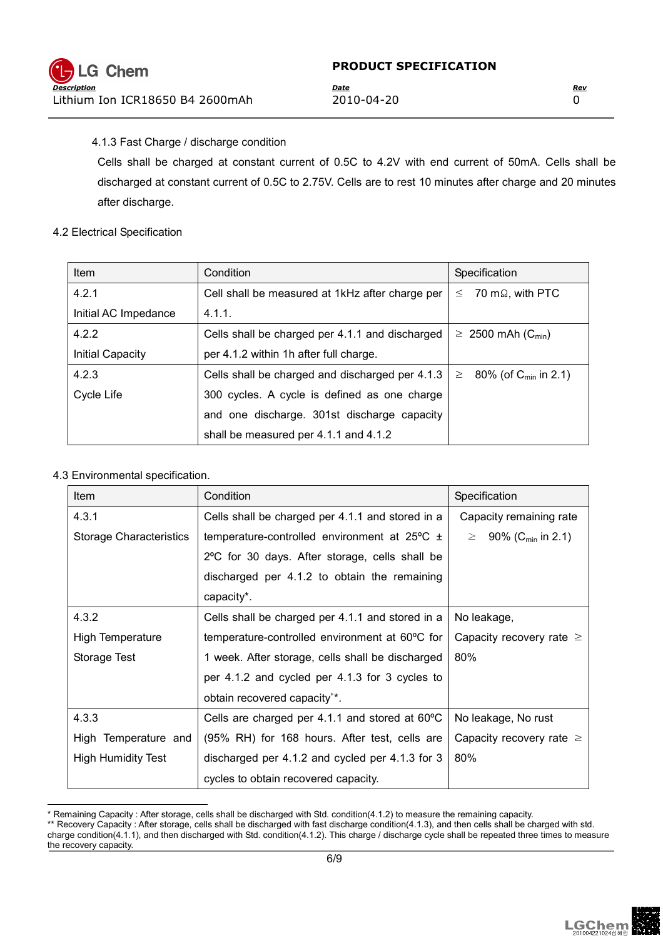Cells shall be charged at constant current of 0.5C to 4.2V with end current of 50mA. Cells shall be discharged at constant current of 0.5C to 2.75V. Cells are to rest 10 minutes after charge and 20 minutes after discharge.

#### 4.2 Electrical Specification

| <b>Item</b>             | Condition                                       | Specification                              |
|-------------------------|-------------------------------------------------|--------------------------------------------|
| 4.2.1                   | Cell shall be measured at 1kHz after charge per | 70 mΩ, with PTC<br>$\leq$                  |
| Initial AC Impedance    | 4.1.1.                                          |                                            |
| 4.2.2                   | Cells shall be charged per 4.1.1 and discharged | $\geq 2500$ mAh (C <sub>min</sub> )        |
| <b>Initial Capacity</b> | per 4.1.2 within 1h after full charge.          |                                            |
| 4.2.3                   | Cells shall be charged and discharged per 4.1.3 | 80% (of $C_{\text{min}}$ in 2.1)<br>$\geq$ |
| Cycle Life              | 300 cycles. A cycle is defined as one charge    |                                            |
|                         | and one discharge. 301st discharge capacity     |                                            |
|                         | shall be measured per 4.1.1 and 4.1.2           |                                            |

#### 4.3 Environmental specification.

| <b>Item</b>                    | Condition                                                  | Specification                        |
|--------------------------------|------------------------------------------------------------|--------------------------------------|
| 4.3.1                          | Cells shall be charged per 4.1.1 and stored in a           | Capacity remaining rate              |
| <b>Storage Characteristics</b> | temperature-controlled environment at $25^{\circ}$ C $\pm$ | $\geq$ 90% (C <sub>min</sub> in 2.1) |
|                                | 2°C for 30 days. After storage, cells shall be             |                                      |
|                                | discharged per 4.1.2 to obtain the remaining               |                                      |
|                                | capacity*.                                                 |                                      |
| 4.3.2                          | Cells shall be charged per 4.1.1 and stored in a           | No leakage,                          |
| High Temperature               | temperature-controlled environment at 60°C for             | Capacity recovery rate $\geq$        |
| Storage Test                   | 1 week. After storage, cells shall be discharged           | 80%                                  |
|                                | per 4.1.2 and cycled per 4.1.3 for 3 cycles to             |                                      |
|                                | obtain recovered capacity**.                               |                                      |
| 4.3.3                          | Cells are charged per 4.1.1 and stored at $60^{\circ}$ C   | No leakage, No rust                  |
| High Temperature and           | (95% RH) for 168 hours. After test, cells are              | Capacity recovery rate $\geq$        |
| <b>High Humidity Test</b>      | discharged per 4.1.2 and cycled per 4.1.3 for 3            | 80%                                  |
|                                | cycles to obtain recovered capacity.                       |                                      |

 $\overline{a}$ \* Remaining Capacity : After storage, cells shall be discharged with Std. condition(4.1.2) to measure the remaining capacity.



<sup>\*\*</sup> Recovery Capacity : After storage, cells shall be discharged with fast discharge condition(4.1.3), and then cells shall be charged with std. charge condition(4.1.1), and then discharged with Std. condition(4.1.2). This charge / discharge cycle shall be repeated three times to measure the recovery capacity.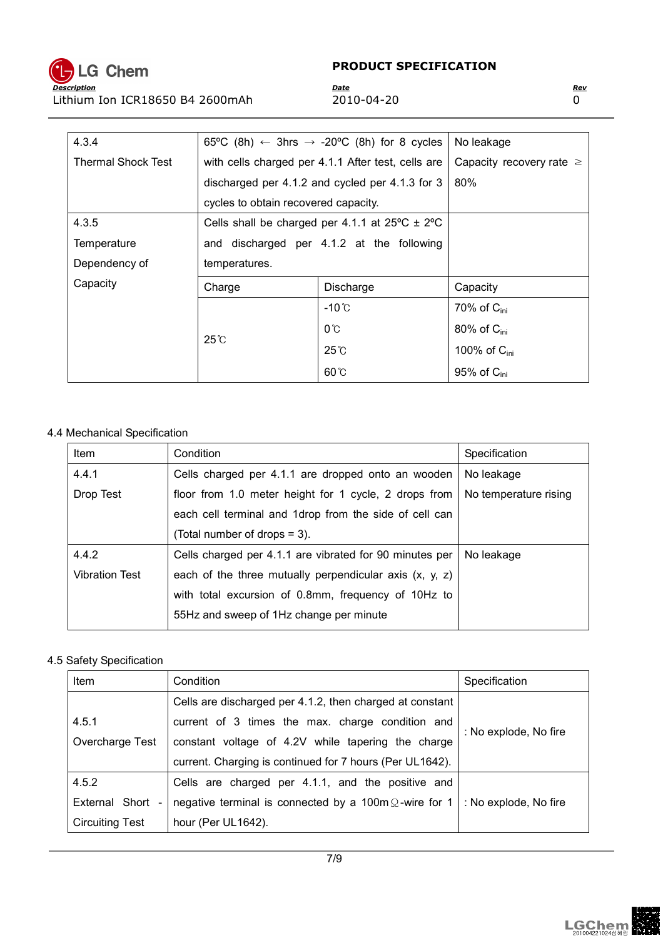

| 4.3.4                                           |                                                    | 65°C (8h) $\leftarrow$ 3hrs $\rightarrow$ -20°C (8h) for 8 cycles | No leakage                    |
|-------------------------------------------------|----------------------------------------------------|-------------------------------------------------------------------|-------------------------------|
| <b>Thermal Shock Test</b>                       | with cells charged per 4.1.1 After test, cells are |                                                                   | Capacity recovery rate $\geq$ |
| discharged per 4.1.2 and cycled per 4.1.3 for 3 |                                                    |                                                                   | 80%                           |
|                                                 | cycles to obtain recovered capacity.               |                                                                   |                               |
| 4.3.5                                           |                                                    | Cells shall be charged per 4.1.1 at $25^{\circ}$ C $\pm$ 2°C      |                               |
| Temperature                                     | and discharged per 4.1.2 at the following          |                                                                   |                               |
| Dependency of                                   | temperatures.                                      |                                                                   |                               |
| Capacity                                        | Charge                                             | Discharge                                                         | Capacity                      |
|                                                 |                                                    | -10℃                                                              | 70% of $C_{\text{ini}}$       |
|                                                 | $25^\circ$ C                                       | $0^{\circ}$                                                       | 80% of $C_{\text{ini}}$       |
|                                                 |                                                    | $25^\circ$ C                                                      | 100% of $C_{\text{ini}}$      |
|                                                 |                                                    | $60^\circ$                                                        | 95% of $C_{\text{ini}}$       |

#### 4.4 Mechanical Specification

| Item                  | Condition                                                 | Specification         |
|-----------------------|-----------------------------------------------------------|-----------------------|
| 4.4.1                 | Cells charged per 4.1.1 are dropped onto an wooden        | No leakage            |
| Drop Test             | floor from 1.0 meter height for 1 cycle, 2 drops from     | No temperature rising |
|                       | each cell terminal and 1drop from the side of cell can    |                       |
|                       | (Total number of drops = 3).                              |                       |
| 4.4.2                 | Cells charged per 4.1.1 are vibrated for 90 minutes per   | No leakage            |
| <b>Vibration Test</b> | each of the three mutually perpendicular axis $(x, y, z)$ |                       |
|                       | with total excursion of 0.8mm, frequency of 10Hz to       |                       |
|                       | 55Hz and sweep of 1Hz change per minute                   |                       |
|                       |                                                           |                       |

#### 4.5 Safety Specification

| Item                   | Condition                                                     | Specification         |  |
|------------------------|---------------------------------------------------------------|-----------------------|--|
|                        | Cells are discharged per 4.1.2, then charged at constant      |                       |  |
| 4.5.1                  | current of 3 times the max. charge condition and              |                       |  |
| Overcharge Test        | constant voltage of 4.2V while tapering the charge            | : No explode, No fire |  |
|                        | current. Charging is continued for 7 hours (Per UL1642).      |                       |  |
| 4.5.2                  | Cells are charged per 4.1.1, and the positive and             |                       |  |
| External Short -       | negative terminal is connected by a 100m $\Omega$ -wire for 1 | : No explode, No fire |  |
| <b>Circuiting Test</b> | hour (Per UL1642).                                            |                       |  |

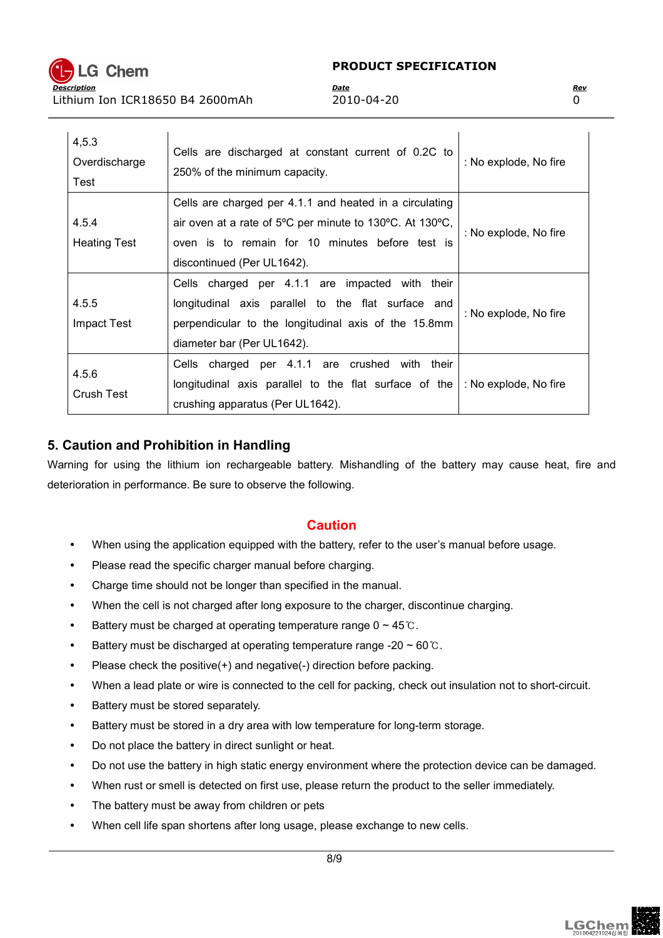

| 4,5.3<br>Overdischarge<br>Test | Cells are discharged at constant current of 0.2C to<br>250% of the minimum capacity.                                                                                                                 | : No explode, No fire |
|--------------------------------|------------------------------------------------------------------------------------------------------------------------------------------------------------------------------------------------------|-----------------------|
| 4.5.4<br><b>Heating Test</b>   | Cells are charged per 4.1.1 and heated in a circulating<br>air oven at a rate of 5°C per minute to 130°C. At 130°C,<br>oven is to remain for 10 minutes before test is<br>discontinued (Per UL1642). | : No explode, No fire |
| 4.5.5<br><b>Impact Test</b>    | Cells charged per 4.1.1 are impacted with<br>their<br>longitudinal axis parallel to the flat surface and<br>perpendicular to the longitudinal axis of the 15.8mm<br>diameter bar (Per UL1642).       | : No explode, No fire |
| 4.5.6<br><b>Crush Test</b>     | Cells charged per 4.1.1 are crushed<br>with<br>their<br>longitudinal axis parallel to the flat surface of the<br>crushing apparatus (Per UL1642).                                                    | : No explode, No fire |

## 5. Caution and Prohibition in Handling

Warning for using the lithium ion rechargeable battery. Mishandling of the battery may cause heat, fire and deterioration in performance. Be sure to observe the following.

## **Caution**

- When using the application equipped with the battery, refer to the user's manual before usage.
- Please read the specific charger manual before charging.
- Charge time should not be longer than specified in the manual.
- When the cell is not charged after long exposure to the charger, discontinue charging.
- Battery must be charged at operating temperature range  $0 \sim 45 \degree$ .
- Battery must be discharged at operating temperature range -20  $\sim$  60  $\degree$ C.
- Please check the positive(+) and negative(-) direction before packing.
- When a lead plate or wire is connected to the cell for packing, check out insulation not to short-circuit.
- Battery must be stored separately.
- Battery must be stored in a dry area with low temperature for long-term storage.
- Do not place the battery in direct sunlight or heat.
- Do not use the battery in high static energy environment where the protection device can be damaged.
- When rust or smell is detected on first use, please return the product to the seller immediately.
- The battery must be away from children or pets
- When cell life span shortens after long usage, please exchange to new cells.